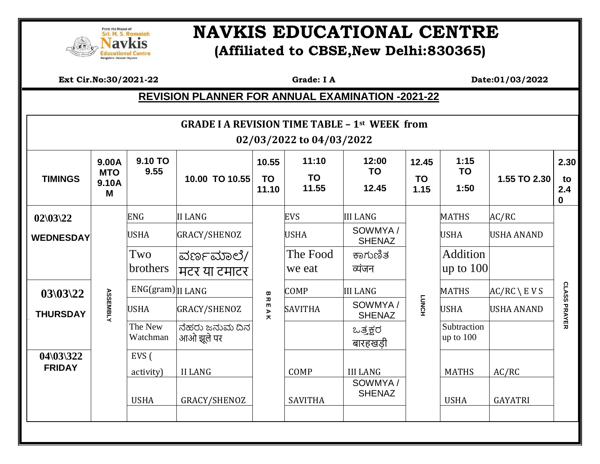

## **EQUERICITY SERIONAL SERION REAL PROPERTY AND IN AVAILABLE SERION ALL CENTRE (Affiliated to CBSE,New Delhi:830365)**

 **Ext Cir.No:30/2021-22 Grade: I A Date:01/03/2022**

## **REVISION PLANNER FOR ANNUAL EXAMINATION -2021-22**

| <b>GRADE I A REVISION TIME TABLE - 1st WEEK from</b><br>02/03/2022 to 04/03/2022 |                                   |                     |                              |                                                            |                             |                             |                            |                            |                       |                                  |
|----------------------------------------------------------------------------------|-----------------------------------|---------------------|------------------------------|------------------------------------------------------------|-----------------------------|-----------------------------|----------------------------|----------------------------|-----------------------|----------------------------------|
| <b>TIMINGS</b>                                                                   | 9.00A<br><b>MTO</b><br>9.10A<br>M | 9.10 TO<br>9.55     | 10.00 TO 10.55               | 10.55<br><b>TO</b><br>11.10                                | 11:10<br><b>TO</b><br>11.55 | 12:00<br><b>TO</b><br>12.45 | 12.45<br><b>TO</b><br>1.15 | 1:15<br><b>TO</b><br>1:50  | 1.55 TO 2.30          | 2.30<br>to<br>2.4<br>$\mathbf 0$ |
| $02\frac{03}{22}$                                                                |                                   | <b>ENG</b>          | <b>II LANG</b>               |                                                            | <b>EVS</b>                  | <b>III LANG</b>             |                            | <b>MATHS</b>               | AC/RC                 |                                  |
| <b>WEDNESDAY</b>                                                                 |                                   | <b>USHA</b>         | GRACY/SHENOZ                 |                                                            | <b>USHA</b>                 | SOWMYA /<br><b>SHENAZ</b>   |                            | <b>USHA</b>                | <b>USHA ANAND</b>     |                                  |
|                                                                                  |                                   | Two<br>brothers     | ವರ್ಣಮಾಲೆ/<br>मटर या टमाटर    |                                                            | The Food<br>we eat          | ಕಾಗುಣಿತ<br>व्यंजन           |                            | Addition<br>up to $100$    |                       |                                  |
| $03\frac{03}{22}$                                                                |                                   | ENG(gram) II LANG   |                              | $\pmb{\varpi}$                                             | <b>COMP</b>                 | <b>III LANG</b>             |                            | <b>MATHS</b>               | $AC/RC \setminus EVS$ | <b>CLASS</b><br>PRAYER           |
| <b>THURSDAY</b>                                                                  | <b>ASSEMBLY</b>                   | <b>USHA</b>         | GRACY/SHENOZ                 | $\overline{\mathbf{x}}$<br>m<br>$\blacktriangleright$<br>ᄎ | <b>SAVITHA</b>              | SOWMYA /<br><b>SHENAZ</b>   | <b>LUNCH</b>               | <b>USHA</b>                | <b>USHA ANAND</b>     |                                  |
|                                                                                  |                                   | The New<br>Watchman | ನೆಹರು ಜನುಮ ದಿನ<br>आओ झूले पर |                                                            |                             | ಒತ್ತಕ್ಷರ<br>बारहखडी         |                            | Subtraction<br>up to $100$ |                       |                                  |
| $04\frac{03}{322}$<br><b>FRIDAY</b>                                              |                                   | EVS (<br>activity)  | <b>II LANG</b>               |                                                            | COMP                        | <b>III LANG</b><br>SOWMYA/  |                            | <b>MATHS</b>               | AC/RC                 |                                  |
|                                                                                  |                                   | <b>USHA</b>         | GRACY/SHENOZ                 |                                                            | <b>SAVITHA</b>              | <b>SHENAZ</b>               |                            | <b>USHA</b>                | <b>GAYATRI</b>        |                                  |
|                                                                                  |                                   |                     |                              |                                                            |                             |                             |                            |                            |                       |                                  |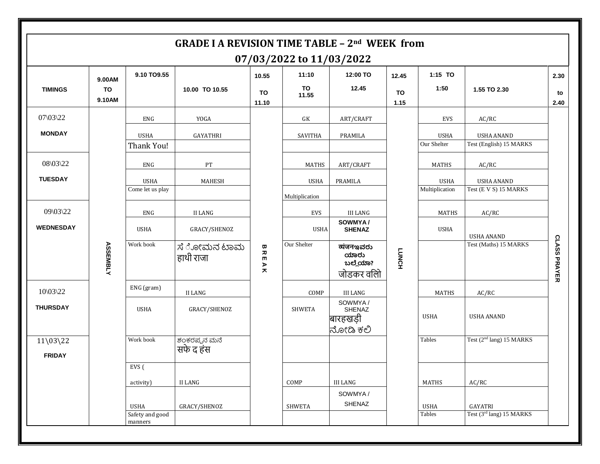| <b>GRADE I A REVISION TIME TABLE - 2nd WEEK from</b><br>07/03/2022 to 11/03/2022 |                               |                                    |                           |                                                                                            |                               |                                            |                            |                               |                                              |                     |
|----------------------------------------------------------------------------------|-------------------------------|------------------------------------|---------------------------|--------------------------------------------------------------------------------------------|-------------------------------|--------------------------------------------|----------------------------|-------------------------------|----------------------------------------------|---------------------|
| <b>TIMINGS</b>                                                                   | 9.00AM<br><b>TO</b><br>9.10AM | 9.10 TO9.55                        | 10.00 TO 10.55            | 10.55<br>TO<br>11.10                                                                       | 11:10<br>TO<br>11.55          | 12:00 TO<br>12.45                          | 12.45<br><b>TO</b><br>1.15 | 1:15 TO<br>1:50               | 1.55 TO 2.30                                 | 2.30<br>to<br>2.40  |
| 07\03\22                                                                         |                               | ENG                                | YOGA                      |                                                                                            | GK                            | ART/CRAFT                                  |                            | <b>EVS</b>                    | AC/RC                                        |                     |
| <b>MONDAY</b>                                                                    |                               | <b>USHA</b><br>Thank You!          | GAYATHRI                  |                                                                                            | SAVITHA                       | PRAMILA                                    |                            | <b>USHA</b><br>Our Shelter    | <b>USHA ANAND</b><br>Test (English) 15 MARKS |                     |
| 08\03\22                                                                         |                               | ENG                                | PT                        |                                                                                            | <b>MATHS</b>                  | ART/CRAFT                                  |                            | <b>MATHS</b>                  | AC/RC                                        |                     |
| <b>TUESDAY</b>                                                                   |                               | <b>USHA</b><br>Come let us play    | MAHESH                    |                                                                                            | <b>USHA</b><br>Multiplication | <b>PRAMILA</b>                             |                            | <b>USHA</b><br>Multiplication | <b>USHA ANAND</b><br>Test (E V S) 15 MARKS   |                     |
| 09\03\22                                                                         |                               | ENG                                | <b>II LANG</b>            |                                                                                            | EVS                           | III LANG                                   |                            | <b>MATHS</b>                  | AC/RC                                        |                     |
| <b>WEDNESDAY</b>                                                                 |                               | <b>USHA</b>                        | GRACY/SHENOZ              |                                                                                            | <b>USHA</b>                   | SOWMYA/<br><b>SHENAZ</b>                   |                            | <b>USHA</b>                   | <b>USHA ANAND</b>                            |                     |
|                                                                                  | <b>ASSEMBLY</b>               | Work book                          | ಸೆ ೋಮನ ಟಾಮ<br>हाथी राजा   | $\pmb{\varpi}$<br>观<br>$\blacksquare$<br>$\blacktriangleright$<br>$\overline{\phantom{a}}$ | Our Shelter                   | ಪಠಗಾಇವರು<br>ಯಾರು<br>ಬಲ್ಲೆಯಾ?<br>जोडकर वलिो | <b>LUNCH</b>               |                               | Test (Maths) 15 MARKS                        | <b>CLASS PRAYER</b> |
| $10\overline{\smash{\big)}\ 22}$                                                 |                               | ENG (gram)                         | II LANG                   |                                                                                            | COMP                          | <b>III LANG</b>                            |                            | <b>MATHS</b>                  | AC/RC                                        |                     |
| <b>THURSDAY</b>                                                                  |                               | <b>USHA</b>                        | GRACY/SHENOZ              |                                                                                            | SHWETA                        | SOWMYA/<br>SHENAZ<br>बारहखड़ी<br>ನೋಡಿ ಕಲಿ  |                            | <b>USHA</b>                   | <b>USHA ANAND</b>                            |                     |
| $11\backslash03\backslash22$<br><b>FRIDAY</b>                                    |                               | Work book                          | ಶಂಕರಪ್ಪನ ಮನೆ<br>सफे द हंस |                                                                                            |                               |                                            |                            | Tables                        | Test (2 <sup>nd</sup> lang) 15 MARKS         |                     |
|                                                                                  |                               | EVS (                              |                           |                                                                                            |                               |                                            |                            |                               |                                              |                     |
|                                                                                  |                               | activity)                          | II LANG                   |                                                                                            | COMP                          | <b>III LANG</b>                            |                            | <b>MATHS</b>                  | AC/RC                                        |                     |
|                                                                                  |                               | USHA                               | GRACY/SHENOZ              |                                                                                            | <b>SHWETA</b>                 | SOWMYA/<br>SHENAZ                          |                            | USHA                          | GAYATRI                                      |                     |
|                                                                                  |                               | Safety and good<br>${\tt manners}$ |                           |                                                                                            |                               |                                            |                            | Tables                        | Test (3 <sup>rd</sup> lang) 15 MARKS         |                     |